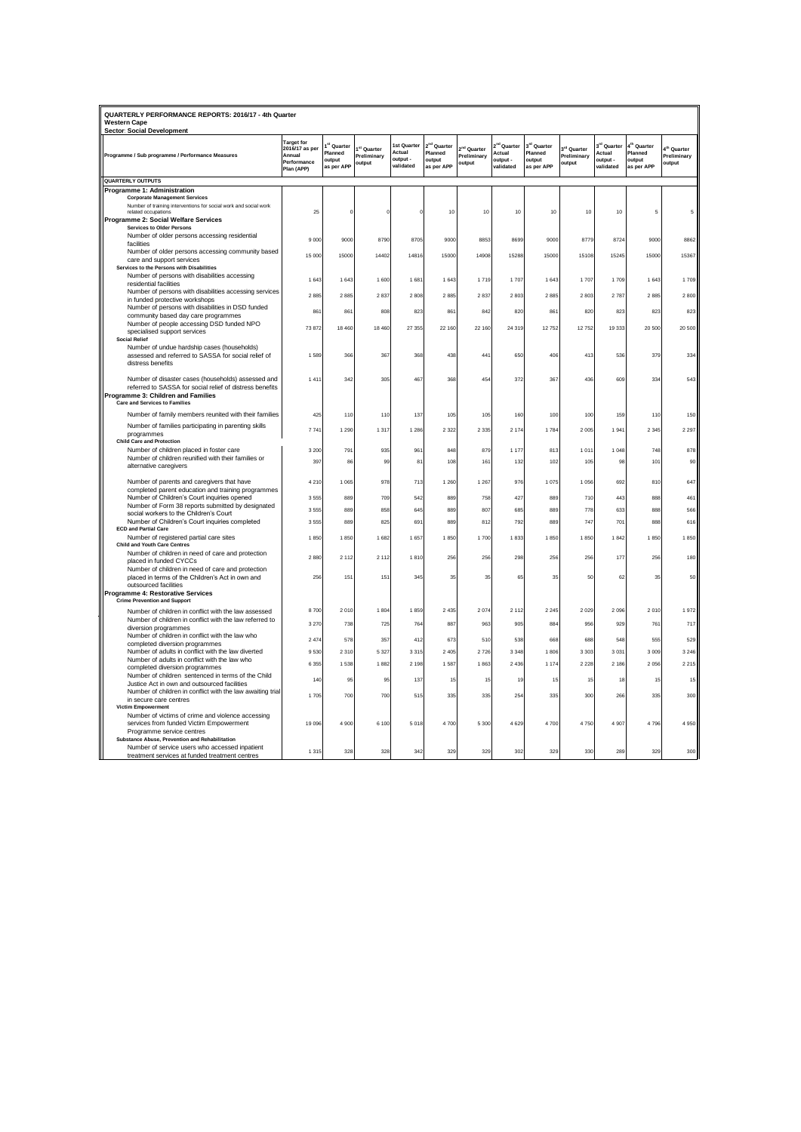| <b>Target for</b><br>2 <sup>nd</sup> Quarter<br>3 <sup>rd</sup> Quarter<br><sup>st</sup> Quarter<br>1st Quarter<br><sup>rd</sup> Quarter<br>4 <sup>th</sup> Quarter<br><sup>1</sup> Quarter<br>2016/17 as per<br>3 <sup>rd</sup> Quarter<br><sup>st</sup> Quarter<br>2 <sup>nd</sup> Quarter<br>I <sup>th</sup> Quarter<br>Planned<br>Actual<br>Planned<br>Actual<br>Planned<br>Actual<br>Planned<br>Programme / Sub programme / Performance Measures<br>Annual<br>Preliminary<br>Preliminary<br>Preliminary<br>Preliminary<br>output<br>output<br>output<br>output -<br>output<br>output -<br>output<br>Performance<br>output<br>output<br>output<br>output<br>validated<br>validated<br>validated<br>as per APP<br>as per APP<br>as per APP<br>as per APP<br>Plan (APP)<br>QUARTERLY OUTPUTS<br>Programme 1: Administration<br><b>Corporate Management Services</b><br>Number of training interventions for social work and social work<br>related occupations<br>25<br>10<br>10<br>10<br>10<br>10<br>10<br>$\mathfrak{c}$<br>5<br>Programme 2: Social Welfare Services<br><b>Services to Older Persons</b><br>Number of older persons accessing residential<br>9000<br>8790<br>8705<br>9000<br>8853<br>9000<br>8779<br>9000<br>8862<br>9000<br>8699<br>8724<br>facilities<br>Number of older persons accessing community based<br>15 000<br>15000<br>14402<br>14816<br>15000<br>14908<br>15288<br>15000<br>15108<br>15245<br>15000<br>15367<br>care and support services<br>Services to the Persons with Disabilities<br>Number of persons with disabilities accessing<br>1.600<br>1.681<br>1.643<br>1719<br>1 7 0 7<br>1.643<br>1 7 0 7<br>1709<br>1.643<br>1 709<br>1.643<br>1.643<br>residential facilities<br>Number of persons with disabilities accessing services<br>2885<br>2885<br>2837<br>2808<br>2885<br>2837<br>2803<br>2885<br>2803<br>2787<br>2885<br>2800<br>in funded protective workshops<br>Number of persons with disabilities in DSD funded<br>861<br>861<br>808<br>823<br>861<br>842<br>820<br>861<br>820<br>823<br>823<br>823<br>community based day care programmes<br>Number of people accessing DSD funded NPO<br>22 160<br>24 319<br>12752<br>12 752<br>73872<br>18 460<br>18 460<br>27 355<br>22 160<br>19333<br>20 500<br>20 500<br>specialised support services<br><b>Social Relief</b><br>Number of undue hardship cases (households)<br>assessed and referred to SASSA for social relief of<br>1589<br>366<br>367<br>368<br>438<br>441<br>650<br>406<br>413<br>536<br>379<br>334<br>distress benefits<br>Number of disaster cases (households) assessed and<br>1411<br>342<br>305<br>467<br>368<br>454<br>372<br>367<br>436<br>609<br>334<br>543<br>referred to SASSA for social relief of distress benefits<br>Programme 3: Children and Families<br><b>Care and Services to Families</b><br>Number of family members reunited with their families<br>105<br>105<br>100<br>425<br>110<br>110<br>137<br>160<br>100<br>159<br>110<br>150<br>Number of families participating in parenting skills<br>7 7 41<br>1 2 9 0<br>1 3 1 7<br>1 286<br>2 3 2 2<br>2 3 3 5<br>2174<br>1 784<br>2 0 0 5<br>1941<br>2 3 45<br>2 2 9 7<br>programmes<br><b>Child Care and Protection</b><br>Number of children placed in foster care<br>935<br>879<br>1 177<br>1011<br>3 2 0 0<br>791<br>96'<br>848<br>813<br>1048<br>748<br>878<br>Number of children reunified with their families or<br>397<br>108<br>161<br>101<br>86<br><b>gc</b><br>132<br>102<br>105<br>98<br>90<br>81<br>alternative caregivers<br>Number of parents and caregivers that have<br>1 0 6 5<br>978<br>713<br>1 2 6 0<br>1 2 6 7<br>976<br>1075<br>1 0 5 6<br>692<br>810<br>647<br>4 2 1 0<br>completed parent education and training programmes<br>Number of Children's Court inquiries opened<br>889<br>709<br>889<br>427<br>710<br>443<br>888<br>461<br>3.555<br>542<br>758<br>889<br>Number of Form 38 reports submitted by designated<br>858<br>645<br>889<br>807<br>685<br>633<br>566<br>3 5 5 5<br>889<br>88<br>778<br>888<br>social workers to the Children's Court<br>Number of Children's Court inquiries completed<br>747<br>701<br>888<br>3.555<br>889<br>825<br>691<br>889<br>812<br>792<br>889<br>616<br><b>ECD and Partial Care</b><br>Number of registered partial care sites<br>1850<br>1850<br>1682<br>1657<br>1850<br>1700<br>1833<br>1850<br>1850<br>1842<br>1850<br>1850<br><b>Child and Youth Care Centres</b><br>Number of children in need of care and protection<br>2880<br>2 1 1 2<br>2 1 1 2<br>1810<br>256<br>256<br>298<br>256<br>256<br>177<br>256<br>180<br>placed in funded CYCCs<br>Number of children in need of care and protection<br>placed in terms of the Children's Act in own and<br>256<br>151<br>151<br>345<br>35<br>35<br>65<br>35<br>50<br>62<br>35<br>50<br>outsourced facilities<br>Programme 4: Restorative Services<br><b>Crime Prevention and Support</b><br>8700<br>2010<br>1804<br>1859<br>2 4 3 5<br>2074<br>2 1 1 2<br>2 2 4 5<br>2 0 2 9<br>2096<br>2010<br>1972<br>Number of children in conflict with the law assessed<br>Number of children in conflict with the law referred to<br>3 2 7 0<br>738<br>725<br>764<br>887<br>963<br>905<br>884<br>956<br>929<br>761<br>717<br>diversion programmes<br>Number of children in conflict with the law who<br>2474<br>578<br>357<br>412<br>673<br>510<br>538<br>668<br>688<br>548<br>555<br>529<br>completed diversion programmes<br>Number of adults in conflict with the law diverted<br>9530<br>2 3 1 0<br>5 3 27<br>3 3 1 5<br>2 4 0 5<br>2726<br>3 3 4 8<br>1806<br>3 3 0 3<br>3031<br>3 0 0 9<br>3 2 4 6<br>Number of adults in conflict with the law who<br>6 3 5 5<br>1 538<br>1882<br>2 1 9 8<br>1587<br>1863<br>2 4 3 6<br>1174<br>2 2 2 8<br>2 1 8 6<br>2056<br>2 2 1 5<br>completed diversion programmes<br>Number of children sentenced in terms of the Child<br>137<br>140<br>95<br>95<br>15<br>15<br>15<br>18<br>15<br>15<br>19<br>15<br>Justice Act in own and outsourced facilities<br>Number of children in conflict with the law awaiting trial<br>1705<br>700<br>700<br>515<br>335<br>335<br>254<br>335<br>300<br>266<br>335<br>300<br>in secure care centres<br><b>Victim Empowerment</b><br>Number of victims of crime and violence accessing<br>services from funded Victim Empowerment<br>19 09 6<br>4 900<br>6 100<br>5018<br>4700<br>5 3 0 0<br>4629<br>4700<br>4750<br>4907<br>4796<br>4 9 5 0<br>Programme service centres<br>Substance Abuse, Prevention and Rehabilitation<br>Number of service users who accessed inpatient<br>1 3 1 5<br>328<br>328<br>342<br>329<br>329<br>302<br>329<br>330<br>289<br>329<br>300 | QUARTERLY PERFORMANCE REPORTS: 2016/17 - 4th Quarter<br><b>Western Cape</b> |  |  |  |  |  |  |  |  |  |  |  |
|----------------------------------------------------------------------------------------------------------------------------------------------------------------------------------------------------------------------------------------------------------------------------------------------------------------------------------------------------------------------------------------------------------------------------------------------------------------------------------------------------------------------------------------------------------------------------------------------------------------------------------------------------------------------------------------------------------------------------------------------------------------------------------------------------------------------------------------------------------------------------------------------------------------------------------------------------------------------------------------------------------------------------------------------------------------------------------------------------------------------------------------------------------------------------------------------------------------------------------------------------------------------------------------------------------------------------------------------------------------------------------------------------------------------------------------------------------------------------------------------------------------------------------------------------------------------------------------------------------------------------------------------------------------------------------------------------------------------------------------------------------------------------------------------------------------------------------------------------------------------------------------------------------------------------------------------------------------------------------------------------------------------------------------------------------------------------------------------------------------------------------------------------------------------------------------------------------------------------------------------------------------------------------------------------------------------------------------------------------------------------------------------------------------------------------------------------------------------------------------------------------------------------------------------------------------------------------------------------------------------------------------------------------------------------------------------------------------------------------------------------------------------------------------------------------------------------------------------------------------------------------------------------------------------------------------------------------------------------------------------------------------------------------------------------------------------------------------------------------------------------------------------------------------------------------------------------------------------------------------------------------------------------------------------------------------------------------------------------------------------------------------------------------------------------------------------------------------------------------------------------------------------------------------------------------------------------------------------------------------------------------------------------------------------------------------------------------------------------------------------------------------------------------------------------------------------------------------------------------------------------------------------------------------------------------------------------------------------------------------------------------------------------------------------------------------------------------------------------------------------------------------------------------------------------------------------------------------------------------------------------------------------------------------------------------------------------------------------------------------------------------------------------------------------------------------------------------------------------------------------------------------------------------------------------------------------------------------------------------------------------------------------------------------------------------------------------------------------------------------------------------------------------------------------------------------------------------------------------------------------------------------------------------------------------------------------------------------------------------------------------------------------------------------------------------------------------------------------------------------------------------------------------------------------------------------------------------------------------------------------------------------------------------------------------------------------------------------------------------------------------------------------------------------------------------------------------------------------------------------------------------------------------------------------------------------------------------------------------------------------------------------------------------------------------------------------------------------------------------------------------------------------------------------------------------------------------------------------------------------------------------------------------------------------------------------------------------------------------------------------------------------------------------------------------------------------------------------------------------------------------------------------------------------------------------------------------------------------------------------------------------------------------------------------------------------------------------------------------------------------------------------------------------------------------------------------------------------------------------------------------------------------------------------------------------------------------------------------------------------------------------------------|-----------------------------------------------------------------------------|--|--|--|--|--|--|--|--|--|--|--|
|                                                                                                                                                                                                                                                                                                                                                                                                                                                                                                                                                                                                                                                                                                                                                                                                                                                                                                                                                                                                                                                                                                                                                                                                                                                                                                                                                                                                                                                                                                                                                                                                                                                                                                                                                                                                                                                                                                                                                                                                                                                                                                                                                                                                                                                                                                                                                                                                                                                                                                                                                                                                                                                                                                                                                                                                                                                                                                                                                                                                                                                                                                                                                                                                                                                                                                                                                                                                                                                                                                                                                                                                                                                                                                                                                                                                                                                                                                                                                                                                                                                                                                                                                                                                                                                                                                                                                                                                                                                                                                                                                                                                                                                                                                                                                                                                                                                                                                                                                                                                                                                                                                                                                                                                                                                                                                                                                                                                                                                                                                                                                                                                                                                                                                                                                                                                                                                                                                                                                                                                                                                                                                                                                                                                                                                                                                                                                                                                                                                                                                                                                                                                                                              | <b>Sector: Social Development</b>                                           |  |  |  |  |  |  |  |  |  |  |  |
|                                                                                                                                                                                                                                                                                                                                                                                                                                                                                                                                                                                                                                                                                                                                                                                                                                                                                                                                                                                                                                                                                                                                                                                                                                                                                                                                                                                                                                                                                                                                                                                                                                                                                                                                                                                                                                                                                                                                                                                                                                                                                                                                                                                                                                                                                                                                                                                                                                                                                                                                                                                                                                                                                                                                                                                                                                                                                                                                                                                                                                                                                                                                                                                                                                                                                                                                                                                                                                                                                                                                                                                                                                                                                                                                                                                                                                                                                                                                                                                                                                                                                                                                                                                                                                                                                                                                                                                                                                                                                                                                                                                                                                                                                                                                                                                                                                                                                                                                                                                                                                                                                                                                                                                                                                                                                                                                                                                                                                                                                                                                                                                                                                                                                                                                                                                                                                                                                                                                                                                                                                                                                                                                                                                                                                                                                                                                                                                                                                                                                                                                                                                                                                              |                                                                             |  |  |  |  |  |  |  |  |  |  |  |
|                                                                                                                                                                                                                                                                                                                                                                                                                                                                                                                                                                                                                                                                                                                                                                                                                                                                                                                                                                                                                                                                                                                                                                                                                                                                                                                                                                                                                                                                                                                                                                                                                                                                                                                                                                                                                                                                                                                                                                                                                                                                                                                                                                                                                                                                                                                                                                                                                                                                                                                                                                                                                                                                                                                                                                                                                                                                                                                                                                                                                                                                                                                                                                                                                                                                                                                                                                                                                                                                                                                                                                                                                                                                                                                                                                                                                                                                                                                                                                                                                                                                                                                                                                                                                                                                                                                                                                                                                                                                                                                                                                                                                                                                                                                                                                                                                                                                                                                                                                                                                                                                                                                                                                                                                                                                                                                                                                                                                                                                                                                                                                                                                                                                                                                                                                                                                                                                                                                                                                                                                                                                                                                                                                                                                                                                                                                                                                                                                                                                                                                                                                                                                                              |                                                                             |  |  |  |  |  |  |  |  |  |  |  |
|                                                                                                                                                                                                                                                                                                                                                                                                                                                                                                                                                                                                                                                                                                                                                                                                                                                                                                                                                                                                                                                                                                                                                                                                                                                                                                                                                                                                                                                                                                                                                                                                                                                                                                                                                                                                                                                                                                                                                                                                                                                                                                                                                                                                                                                                                                                                                                                                                                                                                                                                                                                                                                                                                                                                                                                                                                                                                                                                                                                                                                                                                                                                                                                                                                                                                                                                                                                                                                                                                                                                                                                                                                                                                                                                                                                                                                                                                                                                                                                                                                                                                                                                                                                                                                                                                                                                                                                                                                                                                                                                                                                                                                                                                                                                                                                                                                                                                                                                                                                                                                                                                                                                                                                                                                                                                                                                                                                                                                                                                                                                                                                                                                                                                                                                                                                                                                                                                                                                                                                                                                                                                                                                                                                                                                                                                                                                                                                                                                                                                                                                                                                                                                              |                                                                             |  |  |  |  |  |  |  |  |  |  |  |
|                                                                                                                                                                                                                                                                                                                                                                                                                                                                                                                                                                                                                                                                                                                                                                                                                                                                                                                                                                                                                                                                                                                                                                                                                                                                                                                                                                                                                                                                                                                                                                                                                                                                                                                                                                                                                                                                                                                                                                                                                                                                                                                                                                                                                                                                                                                                                                                                                                                                                                                                                                                                                                                                                                                                                                                                                                                                                                                                                                                                                                                                                                                                                                                                                                                                                                                                                                                                                                                                                                                                                                                                                                                                                                                                                                                                                                                                                                                                                                                                                                                                                                                                                                                                                                                                                                                                                                                                                                                                                                                                                                                                                                                                                                                                                                                                                                                                                                                                                                                                                                                                                                                                                                                                                                                                                                                                                                                                                                                                                                                                                                                                                                                                                                                                                                                                                                                                                                                                                                                                                                                                                                                                                                                                                                                                                                                                                                                                                                                                                                                                                                                                                                              |                                                                             |  |  |  |  |  |  |  |  |  |  |  |
|                                                                                                                                                                                                                                                                                                                                                                                                                                                                                                                                                                                                                                                                                                                                                                                                                                                                                                                                                                                                                                                                                                                                                                                                                                                                                                                                                                                                                                                                                                                                                                                                                                                                                                                                                                                                                                                                                                                                                                                                                                                                                                                                                                                                                                                                                                                                                                                                                                                                                                                                                                                                                                                                                                                                                                                                                                                                                                                                                                                                                                                                                                                                                                                                                                                                                                                                                                                                                                                                                                                                                                                                                                                                                                                                                                                                                                                                                                                                                                                                                                                                                                                                                                                                                                                                                                                                                                                                                                                                                                                                                                                                                                                                                                                                                                                                                                                                                                                                                                                                                                                                                                                                                                                                                                                                                                                                                                                                                                                                                                                                                                                                                                                                                                                                                                                                                                                                                                                                                                                                                                                                                                                                                                                                                                                                                                                                                                                                                                                                                                                                                                                                                                              |                                                                             |  |  |  |  |  |  |  |  |  |  |  |
|                                                                                                                                                                                                                                                                                                                                                                                                                                                                                                                                                                                                                                                                                                                                                                                                                                                                                                                                                                                                                                                                                                                                                                                                                                                                                                                                                                                                                                                                                                                                                                                                                                                                                                                                                                                                                                                                                                                                                                                                                                                                                                                                                                                                                                                                                                                                                                                                                                                                                                                                                                                                                                                                                                                                                                                                                                                                                                                                                                                                                                                                                                                                                                                                                                                                                                                                                                                                                                                                                                                                                                                                                                                                                                                                                                                                                                                                                                                                                                                                                                                                                                                                                                                                                                                                                                                                                                                                                                                                                                                                                                                                                                                                                                                                                                                                                                                                                                                                                                                                                                                                                                                                                                                                                                                                                                                                                                                                                                                                                                                                                                                                                                                                                                                                                                                                                                                                                                                                                                                                                                                                                                                                                                                                                                                                                                                                                                                                                                                                                                                                                                                                                                              |                                                                             |  |  |  |  |  |  |  |  |  |  |  |
|                                                                                                                                                                                                                                                                                                                                                                                                                                                                                                                                                                                                                                                                                                                                                                                                                                                                                                                                                                                                                                                                                                                                                                                                                                                                                                                                                                                                                                                                                                                                                                                                                                                                                                                                                                                                                                                                                                                                                                                                                                                                                                                                                                                                                                                                                                                                                                                                                                                                                                                                                                                                                                                                                                                                                                                                                                                                                                                                                                                                                                                                                                                                                                                                                                                                                                                                                                                                                                                                                                                                                                                                                                                                                                                                                                                                                                                                                                                                                                                                                                                                                                                                                                                                                                                                                                                                                                                                                                                                                                                                                                                                                                                                                                                                                                                                                                                                                                                                                                                                                                                                                                                                                                                                                                                                                                                                                                                                                                                                                                                                                                                                                                                                                                                                                                                                                                                                                                                                                                                                                                                                                                                                                                                                                                                                                                                                                                                                                                                                                                                                                                                                                                              |                                                                             |  |  |  |  |  |  |  |  |  |  |  |
|                                                                                                                                                                                                                                                                                                                                                                                                                                                                                                                                                                                                                                                                                                                                                                                                                                                                                                                                                                                                                                                                                                                                                                                                                                                                                                                                                                                                                                                                                                                                                                                                                                                                                                                                                                                                                                                                                                                                                                                                                                                                                                                                                                                                                                                                                                                                                                                                                                                                                                                                                                                                                                                                                                                                                                                                                                                                                                                                                                                                                                                                                                                                                                                                                                                                                                                                                                                                                                                                                                                                                                                                                                                                                                                                                                                                                                                                                                                                                                                                                                                                                                                                                                                                                                                                                                                                                                                                                                                                                                                                                                                                                                                                                                                                                                                                                                                                                                                                                                                                                                                                                                                                                                                                                                                                                                                                                                                                                                                                                                                                                                                                                                                                                                                                                                                                                                                                                                                                                                                                                                                                                                                                                                                                                                                                                                                                                                                                                                                                                                                                                                                                                                              |                                                                             |  |  |  |  |  |  |  |  |  |  |  |
|                                                                                                                                                                                                                                                                                                                                                                                                                                                                                                                                                                                                                                                                                                                                                                                                                                                                                                                                                                                                                                                                                                                                                                                                                                                                                                                                                                                                                                                                                                                                                                                                                                                                                                                                                                                                                                                                                                                                                                                                                                                                                                                                                                                                                                                                                                                                                                                                                                                                                                                                                                                                                                                                                                                                                                                                                                                                                                                                                                                                                                                                                                                                                                                                                                                                                                                                                                                                                                                                                                                                                                                                                                                                                                                                                                                                                                                                                                                                                                                                                                                                                                                                                                                                                                                                                                                                                                                                                                                                                                                                                                                                                                                                                                                                                                                                                                                                                                                                                                                                                                                                                                                                                                                                                                                                                                                                                                                                                                                                                                                                                                                                                                                                                                                                                                                                                                                                                                                                                                                                                                                                                                                                                                                                                                                                                                                                                                                                                                                                                                                                                                                                                                              |                                                                             |  |  |  |  |  |  |  |  |  |  |  |
|                                                                                                                                                                                                                                                                                                                                                                                                                                                                                                                                                                                                                                                                                                                                                                                                                                                                                                                                                                                                                                                                                                                                                                                                                                                                                                                                                                                                                                                                                                                                                                                                                                                                                                                                                                                                                                                                                                                                                                                                                                                                                                                                                                                                                                                                                                                                                                                                                                                                                                                                                                                                                                                                                                                                                                                                                                                                                                                                                                                                                                                                                                                                                                                                                                                                                                                                                                                                                                                                                                                                                                                                                                                                                                                                                                                                                                                                                                                                                                                                                                                                                                                                                                                                                                                                                                                                                                                                                                                                                                                                                                                                                                                                                                                                                                                                                                                                                                                                                                                                                                                                                                                                                                                                                                                                                                                                                                                                                                                                                                                                                                                                                                                                                                                                                                                                                                                                                                                                                                                                                                                                                                                                                                                                                                                                                                                                                                                                                                                                                                                                                                                                                                              |                                                                             |  |  |  |  |  |  |  |  |  |  |  |
|                                                                                                                                                                                                                                                                                                                                                                                                                                                                                                                                                                                                                                                                                                                                                                                                                                                                                                                                                                                                                                                                                                                                                                                                                                                                                                                                                                                                                                                                                                                                                                                                                                                                                                                                                                                                                                                                                                                                                                                                                                                                                                                                                                                                                                                                                                                                                                                                                                                                                                                                                                                                                                                                                                                                                                                                                                                                                                                                                                                                                                                                                                                                                                                                                                                                                                                                                                                                                                                                                                                                                                                                                                                                                                                                                                                                                                                                                                                                                                                                                                                                                                                                                                                                                                                                                                                                                                                                                                                                                                                                                                                                                                                                                                                                                                                                                                                                                                                                                                                                                                                                                                                                                                                                                                                                                                                                                                                                                                                                                                                                                                                                                                                                                                                                                                                                                                                                                                                                                                                                                                                                                                                                                                                                                                                                                                                                                                                                                                                                                                                                                                                                                                              |                                                                             |  |  |  |  |  |  |  |  |  |  |  |
|                                                                                                                                                                                                                                                                                                                                                                                                                                                                                                                                                                                                                                                                                                                                                                                                                                                                                                                                                                                                                                                                                                                                                                                                                                                                                                                                                                                                                                                                                                                                                                                                                                                                                                                                                                                                                                                                                                                                                                                                                                                                                                                                                                                                                                                                                                                                                                                                                                                                                                                                                                                                                                                                                                                                                                                                                                                                                                                                                                                                                                                                                                                                                                                                                                                                                                                                                                                                                                                                                                                                                                                                                                                                                                                                                                                                                                                                                                                                                                                                                                                                                                                                                                                                                                                                                                                                                                                                                                                                                                                                                                                                                                                                                                                                                                                                                                                                                                                                                                                                                                                                                                                                                                                                                                                                                                                                                                                                                                                                                                                                                                                                                                                                                                                                                                                                                                                                                                                                                                                                                                                                                                                                                                                                                                                                                                                                                                                                                                                                                                                                                                                                                                              |                                                                             |  |  |  |  |  |  |  |  |  |  |  |
|                                                                                                                                                                                                                                                                                                                                                                                                                                                                                                                                                                                                                                                                                                                                                                                                                                                                                                                                                                                                                                                                                                                                                                                                                                                                                                                                                                                                                                                                                                                                                                                                                                                                                                                                                                                                                                                                                                                                                                                                                                                                                                                                                                                                                                                                                                                                                                                                                                                                                                                                                                                                                                                                                                                                                                                                                                                                                                                                                                                                                                                                                                                                                                                                                                                                                                                                                                                                                                                                                                                                                                                                                                                                                                                                                                                                                                                                                                                                                                                                                                                                                                                                                                                                                                                                                                                                                                                                                                                                                                                                                                                                                                                                                                                                                                                                                                                                                                                                                                                                                                                                                                                                                                                                                                                                                                                                                                                                                                                                                                                                                                                                                                                                                                                                                                                                                                                                                                                                                                                                                                                                                                                                                                                                                                                                                                                                                                                                                                                                                                                                                                                                                                              |                                                                             |  |  |  |  |  |  |  |  |  |  |  |
|                                                                                                                                                                                                                                                                                                                                                                                                                                                                                                                                                                                                                                                                                                                                                                                                                                                                                                                                                                                                                                                                                                                                                                                                                                                                                                                                                                                                                                                                                                                                                                                                                                                                                                                                                                                                                                                                                                                                                                                                                                                                                                                                                                                                                                                                                                                                                                                                                                                                                                                                                                                                                                                                                                                                                                                                                                                                                                                                                                                                                                                                                                                                                                                                                                                                                                                                                                                                                                                                                                                                                                                                                                                                                                                                                                                                                                                                                                                                                                                                                                                                                                                                                                                                                                                                                                                                                                                                                                                                                                                                                                                                                                                                                                                                                                                                                                                                                                                                                                                                                                                                                                                                                                                                                                                                                                                                                                                                                                                                                                                                                                                                                                                                                                                                                                                                                                                                                                                                                                                                                                                                                                                                                                                                                                                                                                                                                                                                                                                                                                                                                                                                                                              |                                                                             |  |  |  |  |  |  |  |  |  |  |  |
|                                                                                                                                                                                                                                                                                                                                                                                                                                                                                                                                                                                                                                                                                                                                                                                                                                                                                                                                                                                                                                                                                                                                                                                                                                                                                                                                                                                                                                                                                                                                                                                                                                                                                                                                                                                                                                                                                                                                                                                                                                                                                                                                                                                                                                                                                                                                                                                                                                                                                                                                                                                                                                                                                                                                                                                                                                                                                                                                                                                                                                                                                                                                                                                                                                                                                                                                                                                                                                                                                                                                                                                                                                                                                                                                                                                                                                                                                                                                                                                                                                                                                                                                                                                                                                                                                                                                                                                                                                                                                                                                                                                                                                                                                                                                                                                                                                                                                                                                                                                                                                                                                                                                                                                                                                                                                                                                                                                                                                                                                                                                                                                                                                                                                                                                                                                                                                                                                                                                                                                                                                                                                                                                                                                                                                                                                                                                                                                                                                                                                                                                                                                                                                              |                                                                             |  |  |  |  |  |  |  |  |  |  |  |
|                                                                                                                                                                                                                                                                                                                                                                                                                                                                                                                                                                                                                                                                                                                                                                                                                                                                                                                                                                                                                                                                                                                                                                                                                                                                                                                                                                                                                                                                                                                                                                                                                                                                                                                                                                                                                                                                                                                                                                                                                                                                                                                                                                                                                                                                                                                                                                                                                                                                                                                                                                                                                                                                                                                                                                                                                                                                                                                                                                                                                                                                                                                                                                                                                                                                                                                                                                                                                                                                                                                                                                                                                                                                                                                                                                                                                                                                                                                                                                                                                                                                                                                                                                                                                                                                                                                                                                                                                                                                                                                                                                                                                                                                                                                                                                                                                                                                                                                                                                                                                                                                                                                                                                                                                                                                                                                                                                                                                                                                                                                                                                                                                                                                                                                                                                                                                                                                                                                                                                                                                                                                                                                                                                                                                                                                                                                                                                                                                                                                                                                                                                                                                                              |                                                                             |  |  |  |  |  |  |  |  |  |  |  |
|                                                                                                                                                                                                                                                                                                                                                                                                                                                                                                                                                                                                                                                                                                                                                                                                                                                                                                                                                                                                                                                                                                                                                                                                                                                                                                                                                                                                                                                                                                                                                                                                                                                                                                                                                                                                                                                                                                                                                                                                                                                                                                                                                                                                                                                                                                                                                                                                                                                                                                                                                                                                                                                                                                                                                                                                                                                                                                                                                                                                                                                                                                                                                                                                                                                                                                                                                                                                                                                                                                                                                                                                                                                                                                                                                                                                                                                                                                                                                                                                                                                                                                                                                                                                                                                                                                                                                                                                                                                                                                                                                                                                                                                                                                                                                                                                                                                                                                                                                                                                                                                                                                                                                                                                                                                                                                                                                                                                                                                                                                                                                                                                                                                                                                                                                                                                                                                                                                                                                                                                                                                                                                                                                                                                                                                                                                                                                                                                                                                                                                                                                                                                                                              |                                                                             |  |  |  |  |  |  |  |  |  |  |  |
|                                                                                                                                                                                                                                                                                                                                                                                                                                                                                                                                                                                                                                                                                                                                                                                                                                                                                                                                                                                                                                                                                                                                                                                                                                                                                                                                                                                                                                                                                                                                                                                                                                                                                                                                                                                                                                                                                                                                                                                                                                                                                                                                                                                                                                                                                                                                                                                                                                                                                                                                                                                                                                                                                                                                                                                                                                                                                                                                                                                                                                                                                                                                                                                                                                                                                                                                                                                                                                                                                                                                                                                                                                                                                                                                                                                                                                                                                                                                                                                                                                                                                                                                                                                                                                                                                                                                                                                                                                                                                                                                                                                                                                                                                                                                                                                                                                                                                                                                                                                                                                                                                                                                                                                                                                                                                                                                                                                                                                                                                                                                                                                                                                                                                                                                                                                                                                                                                                                                                                                                                                                                                                                                                                                                                                                                                                                                                                                                                                                                                                                                                                                                                                              |                                                                             |  |  |  |  |  |  |  |  |  |  |  |
|                                                                                                                                                                                                                                                                                                                                                                                                                                                                                                                                                                                                                                                                                                                                                                                                                                                                                                                                                                                                                                                                                                                                                                                                                                                                                                                                                                                                                                                                                                                                                                                                                                                                                                                                                                                                                                                                                                                                                                                                                                                                                                                                                                                                                                                                                                                                                                                                                                                                                                                                                                                                                                                                                                                                                                                                                                                                                                                                                                                                                                                                                                                                                                                                                                                                                                                                                                                                                                                                                                                                                                                                                                                                                                                                                                                                                                                                                                                                                                                                                                                                                                                                                                                                                                                                                                                                                                                                                                                                                                                                                                                                                                                                                                                                                                                                                                                                                                                                                                                                                                                                                                                                                                                                                                                                                                                                                                                                                                                                                                                                                                                                                                                                                                                                                                                                                                                                                                                                                                                                                                                                                                                                                                                                                                                                                                                                                                                                                                                                                                                                                                                                                                              |                                                                             |  |  |  |  |  |  |  |  |  |  |  |
|                                                                                                                                                                                                                                                                                                                                                                                                                                                                                                                                                                                                                                                                                                                                                                                                                                                                                                                                                                                                                                                                                                                                                                                                                                                                                                                                                                                                                                                                                                                                                                                                                                                                                                                                                                                                                                                                                                                                                                                                                                                                                                                                                                                                                                                                                                                                                                                                                                                                                                                                                                                                                                                                                                                                                                                                                                                                                                                                                                                                                                                                                                                                                                                                                                                                                                                                                                                                                                                                                                                                                                                                                                                                                                                                                                                                                                                                                                                                                                                                                                                                                                                                                                                                                                                                                                                                                                                                                                                                                                                                                                                                                                                                                                                                                                                                                                                                                                                                                                                                                                                                                                                                                                                                                                                                                                                                                                                                                                                                                                                                                                                                                                                                                                                                                                                                                                                                                                                                                                                                                                                                                                                                                                                                                                                                                                                                                                                                                                                                                                                                                                                                                                              |                                                                             |  |  |  |  |  |  |  |  |  |  |  |
|                                                                                                                                                                                                                                                                                                                                                                                                                                                                                                                                                                                                                                                                                                                                                                                                                                                                                                                                                                                                                                                                                                                                                                                                                                                                                                                                                                                                                                                                                                                                                                                                                                                                                                                                                                                                                                                                                                                                                                                                                                                                                                                                                                                                                                                                                                                                                                                                                                                                                                                                                                                                                                                                                                                                                                                                                                                                                                                                                                                                                                                                                                                                                                                                                                                                                                                                                                                                                                                                                                                                                                                                                                                                                                                                                                                                                                                                                                                                                                                                                                                                                                                                                                                                                                                                                                                                                                                                                                                                                                                                                                                                                                                                                                                                                                                                                                                                                                                                                                                                                                                                                                                                                                                                                                                                                                                                                                                                                                                                                                                                                                                                                                                                                                                                                                                                                                                                                                                                                                                                                                                                                                                                                                                                                                                                                                                                                                                                                                                                                                                                                                                                                                              |                                                                             |  |  |  |  |  |  |  |  |  |  |  |
|                                                                                                                                                                                                                                                                                                                                                                                                                                                                                                                                                                                                                                                                                                                                                                                                                                                                                                                                                                                                                                                                                                                                                                                                                                                                                                                                                                                                                                                                                                                                                                                                                                                                                                                                                                                                                                                                                                                                                                                                                                                                                                                                                                                                                                                                                                                                                                                                                                                                                                                                                                                                                                                                                                                                                                                                                                                                                                                                                                                                                                                                                                                                                                                                                                                                                                                                                                                                                                                                                                                                                                                                                                                                                                                                                                                                                                                                                                                                                                                                                                                                                                                                                                                                                                                                                                                                                                                                                                                                                                                                                                                                                                                                                                                                                                                                                                                                                                                                                                                                                                                                                                                                                                                                                                                                                                                                                                                                                                                                                                                                                                                                                                                                                                                                                                                                                                                                                                                                                                                                                                                                                                                                                                                                                                                                                                                                                                                                                                                                                                                                                                                                                                              |                                                                             |  |  |  |  |  |  |  |  |  |  |  |
|                                                                                                                                                                                                                                                                                                                                                                                                                                                                                                                                                                                                                                                                                                                                                                                                                                                                                                                                                                                                                                                                                                                                                                                                                                                                                                                                                                                                                                                                                                                                                                                                                                                                                                                                                                                                                                                                                                                                                                                                                                                                                                                                                                                                                                                                                                                                                                                                                                                                                                                                                                                                                                                                                                                                                                                                                                                                                                                                                                                                                                                                                                                                                                                                                                                                                                                                                                                                                                                                                                                                                                                                                                                                                                                                                                                                                                                                                                                                                                                                                                                                                                                                                                                                                                                                                                                                                                                                                                                                                                                                                                                                                                                                                                                                                                                                                                                                                                                                                                                                                                                                                                                                                                                                                                                                                                                                                                                                                                                                                                                                                                                                                                                                                                                                                                                                                                                                                                                                                                                                                                                                                                                                                                                                                                                                                                                                                                                                                                                                                                                                                                                                                                              |                                                                             |  |  |  |  |  |  |  |  |  |  |  |
|                                                                                                                                                                                                                                                                                                                                                                                                                                                                                                                                                                                                                                                                                                                                                                                                                                                                                                                                                                                                                                                                                                                                                                                                                                                                                                                                                                                                                                                                                                                                                                                                                                                                                                                                                                                                                                                                                                                                                                                                                                                                                                                                                                                                                                                                                                                                                                                                                                                                                                                                                                                                                                                                                                                                                                                                                                                                                                                                                                                                                                                                                                                                                                                                                                                                                                                                                                                                                                                                                                                                                                                                                                                                                                                                                                                                                                                                                                                                                                                                                                                                                                                                                                                                                                                                                                                                                                                                                                                                                                                                                                                                                                                                                                                                                                                                                                                                                                                                                                                                                                                                                                                                                                                                                                                                                                                                                                                                                                                                                                                                                                                                                                                                                                                                                                                                                                                                                                                                                                                                                                                                                                                                                                                                                                                                                                                                                                                                                                                                                                                                                                                                                                              |                                                                             |  |  |  |  |  |  |  |  |  |  |  |
|                                                                                                                                                                                                                                                                                                                                                                                                                                                                                                                                                                                                                                                                                                                                                                                                                                                                                                                                                                                                                                                                                                                                                                                                                                                                                                                                                                                                                                                                                                                                                                                                                                                                                                                                                                                                                                                                                                                                                                                                                                                                                                                                                                                                                                                                                                                                                                                                                                                                                                                                                                                                                                                                                                                                                                                                                                                                                                                                                                                                                                                                                                                                                                                                                                                                                                                                                                                                                                                                                                                                                                                                                                                                                                                                                                                                                                                                                                                                                                                                                                                                                                                                                                                                                                                                                                                                                                                                                                                                                                                                                                                                                                                                                                                                                                                                                                                                                                                                                                                                                                                                                                                                                                                                                                                                                                                                                                                                                                                                                                                                                                                                                                                                                                                                                                                                                                                                                                                                                                                                                                                                                                                                                                                                                                                                                                                                                                                                                                                                                                                                                                                                                                              |                                                                             |  |  |  |  |  |  |  |  |  |  |  |
|                                                                                                                                                                                                                                                                                                                                                                                                                                                                                                                                                                                                                                                                                                                                                                                                                                                                                                                                                                                                                                                                                                                                                                                                                                                                                                                                                                                                                                                                                                                                                                                                                                                                                                                                                                                                                                                                                                                                                                                                                                                                                                                                                                                                                                                                                                                                                                                                                                                                                                                                                                                                                                                                                                                                                                                                                                                                                                                                                                                                                                                                                                                                                                                                                                                                                                                                                                                                                                                                                                                                                                                                                                                                                                                                                                                                                                                                                                                                                                                                                                                                                                                                                                                                                                                                                                                                                                                                                                                                                                                                                                                                                                                                                                                                                                                                                                                                                                                                                                                                                                                                                                                                                                                                                                                                                                                                                                                                                                                                                                                                                                                                                                                                                                                                                                                                                                                                                                                                                                                                                                                                                                                                                                                                                                                                                                                                                                                                                                                                                                                                                                                                                                              |                                                                             |  |  |  |  |  |  |  |  |  |  |  |
|                                                                                                                                                                                                                                                                                                                                                                                                                                                                                                                                                                                                                                                                                                                                                                                                                                                                                                                                                                                                                                                                                                                                                                                                                                                                                                                                                                                                                                                                                                                                                                                                                                                                                                                                                                                                                                                                                                                                                                                                                                                                                                                                                                                                                                                                                                                                                                                                                                                                                                                                                                                                                                                                                                                                                                                                                                                                                                                                                                                                                                                                                                                                                                                                                                                                                                                                                                                                                                                                                                                                                                                                                                                                                                                                                                                                                                                                                                                                                                                                                                                                                                                                                                                                                                                                                                                                                                                                                                                                                                                                                                                                                                                                                                                                                                                                                                                                                                                                                                                                                                                                                                                                                                                                                                                                                                                                                                                                                                                                                                                                                                                                                                                                                                                                                                                                                                                                                                                                                                                                                                                                                                                                                                                                                                                                                                                                                                                                                                                                                                                                                                                                                                              |                                                                             |  |  |  |  |  |  |  |  |  |  |  |
|                                                                                                                                                                                                                                                                                                                                                                                                                                                                                                                                                                                                                                                                                                                                                                                                                                                                                                                                                                                                                                                                                                                                                                                                                                                                                                                                                                                                                                                                                                                                                                                                                                                                                                                                                                                                                                                                                                                                                                                                                                                                                                                                                                                                                                                                                                                                                                                                                                                                                                                                                                                                                                                                                                                                                                                                                                                                                                                                                                                                                                                                                                                                                                                                                                                                                                                                                                                                                                                                                                                                                                                                                                                                                                                                                                                                                                                                                                                                                                                                                                                                                                                                                                                                                                                                                                                                                                                                                                                                                                                                                                                                                                                                                                                                                                                                                                                                                                                                                                                                                                                                                                                                                                                                                                                                                                                                                                                                                                                                                                                                                                                                                                                                                                                                                                                                                                                                                                                                                                                                                                                                                                                                                                                                                                                                                                                                                                                                                                                                                                                                                                                                                                              |                                                                             |  |  |  |  |  |  |  |  |  |  |  |
|                                                                                                                                                                                                                                                                                                                                                                                                                                                                                                                                                                                                                                                                                                                                                                                                                                                                                                                                                                                                                                                                                                                                                                                                                                                                                                                                                                                                                                                                                                                                                                                                                                                                                                                                                                                                                                                                                                                                                                                                                                                                                                                                                                                                                                                                                                                                                                                                                                                                                                                                                                                                                                                                                                                                                                                                                                                                                                                                                                                                                                                                                                                                                                                                                                                                                                                                                                                                                                                                                                                                                                                                                                                                                                                                                                                                                                                                                                                                                                                                                                                                                                                                                                                                                                                                                                                                                                                                                                                                                                                                                                                                                                                                                                                                                                                                                                                                                                                                                                                                                                                                                                                                                                                                                                                                                                                                                                                                                                                                                                                                                                                                                                                                                                                                                                                                                                                                                                                                                                                                                                                                                                                                                                                                                                                                                                                                                                                                                                                                                                                                                                                                                                              |                                                                             |  |  |  |  |  |  |  |  |  |  |  |
|                                                                                                                                                                                                                                                                                                                                                                                                                                                                                                                                                                                                                                                                                                                                                                                                                                                                                                                                                                                                                                                                                                                                                                                                                                                                                                                                                                                                                                                                                                                                                                                                                                                                                                                                                                                                                                                                                                                                                                                                                                                                                                                                                                                                                                                                                                                                                                                                                                                                                                                                                                                                                                                                                                                                                                                                                                                                                                                                                                                                                                                                                                                                                                                                                                                                                                                                                                                                                                                                                                                                                                                                                                                                                                                                                                                                                                                                                                                                                                                                                                                                                                                                                                                                                                                                                                                                                                                                                                                                                                                                                                                                                                                                                                                                                                                                                                                                                                                                                                                                                                                                                                                                                                                                                                                                                                                                                                                                                                                                                                                                                                                                                                                                                                                                                                                                                                                                                                                                                                                                                                                                                                                                                                                                                                                                                                                                                                                                                                                                                                                                                                                                                                              |                                                                             |  |  |  |  |  |  |  |  |  |  |  |
|                                                                                                                                                                                                                                                                                                                                                                                                                                                                                                                                                                                                                                                                                                                                                                                                                                                                                                                                                                                                                                                                                                                                                                                                                                                                                                                                                                                                                                                                                                                                                                                                                                                                                                                                                                                                                                                                                                                                                                                                                                                                                                                                                                                                                                                                                                                                                                                                                                                                                                                                                                                                                                                                                                                                                                                                                                                                                                                                                                                                                                                                                                                                                                                                                                                                                                                                                                                                                                                                                                                                                                                                                                                                                                                                                                                                                                                                                                                                                                                                                                                                                                                                                                                                                                                                                                                                                                                                                                                                                                                                                                                                                                                                                                                                                                                                                                                                                                                                                                                                                                                                                                                                                                                                                                                                                                                                                                                                                                                                                                                                                                                                                                                                                                                                                                                                                                                                                                                                                                                                                                                                                                                                                                                                                                                                                                                                                                                                                                                                                                                                                                                                                                              |                                                                             |  |  |  |  |  |  |  |  |  |  |  |
|                                                                                                                                                                                                                                                                                                                                                                                                                                                                                                                                                                                                                                                                                                                                                                                                                                                                                                                                                                                                                                                                                                                                                                                                                                                                                                                                                                                                                                                                                                                                                                                                                                                                                                                                                                                                                                                                                                                                                                                                                                                                                                                                                                                                                                                                                                                                                                                                                                                                                                                                                                                                                                                                                                                                                                                                                                                                                                                                                                                                                                                                                                                                                                                                                                                                                                                                                                                                                                                                                                                                                                                                                                                                                                                                                                                                                                                                                                                                                                                                                                                                                                                                                                                                                                                                                                                                                                                                                                                                                                                                                                                                                                                                                                                                                                                                                                                                                                                                                                                                                                                                                                                                                                                                                                                                                                                                                                                                                                                                                                                                                                                                                                                                                                                                                                                                                                                                                                                                                                                                                                                                                                                                                                                                                                                                                                                                                                                                                                                                                                                                                                                                                                              |                                                                             |  |  |  |  |  |  |  |  |  |  |  |
|                                                                                                                                                                                                                                                                                                                                                                                                                                                                                                                                                                                                                                                                                                                                                                                                                                                                                                                                                                                                                                                                                                                                                                                                                                                                                                                                                                                                                                                                                                                                                                                                                                                                                                                                                                                                                                                                                                                                                                                                                                                                                                                                                                                                                                                                                                                                                                                                                                                                                                                                                                                                                                                                                                                                                                                                                                                                                                                                                                                                                                                                                                                                                                                                                                                                                                                                                                                                                                                                                                                                                                                                                                                                                                                                                                                                                                                                                                                                                                                                                                                                                                                                                                                                                                                                                                                                                                                                                                                                                                                                                                                                                                                                                                                                                                                                                                                                                                                                                                                                                                                                                                                                                                                                                                                                                                                                                                                                                                                                                                                                                                                                                                                                                                                                                                                                                                                                                                                                                                                                                                                                                                                                                                                                                                                                                                                                                                                                                                                                                                                                                                                                                                              |                                                                             |  |  |  |  |  |  |  |  |  |  |  |
|                                                                                                                                                                                                                                                                                                                                                                                                                                                                                                                                                                                                                                                                                                                                                                                                                                                                                                                                                                                                                                                                                                                                                                                                                                                                                                                                                                                                                                                                                                                                                                                                                                                                                                                                                                                                                                                                                                                                                                                                                                                                                                                                                                                                                                                                                                                                                                                                                                                                                                                                                                                                                                                                                                                                                                                                                                                                                                                                                                                                                                                                                                                                                                                                                                                                                                                                                                                                                                                                                                                                                                                                                                                                                                                                                                                                                                                                                                                                                                                                                                                                                                                                                                                                                                                                                                                                                                                                                                                                                                                                                                                                                                                                                                                                                                                                                                                                                                                                                                                                                                                                                                                                                                                                                                                                                                                                                                                                                                                                                                                                                                                                                                                                                                                                                                                                                                                                                                                                                                                                                                                                                                                                                                                                                                                                                                                                                                                                                                                                                                                                                                                                                                              |                                                                             |  |  |  |  |  |  |  |  |  |  |  |
|                                                                                                                                                                                                                                                                                                                                                                                                                                                                                                                                                                                                                                                                                                                                                                                                                                                                                                                                                                                                                                                                                                                                                                                                                                                                                                                                                                                                                                                                                                                                                                                                                                                                                                                                                                                                                                                                                                                                                                                                                                                                                                                                                                                                                                                                                                                                                                                                                                                                                                                                                                                                                                                                                                                                                                                                                                                                                                                                                                                                                                                                                                                                                                                                                                                                                                                                                                                                                                                                                                                                                                                                                                                                                                                                                                                                                                                                                                                                                                                                                                                                                                                                                                                                                                                                                                                                                                                                                                                                                                                                                                                                                                                                                                                                                                                                                                                                                                                                                                                                                                                                                                                                                                                                                                                                                                                                                                                                                                                                                                                                                                                                                                                                                                                                                                                                                                                                                                                                                                                                                                                                                                                                                                                                                                                                                                                                                                                                                                                                                                                                                                                                                                              |                                                                             |  |  |  |  |  |  |  |  |  |  |  |
|                                                                                                                                                                                                                                                                                                                                                                                                                                                                                                                                                                                                                                                                                                                                                                                                                                                                                                                                                                                                                                                                                                                                                                                                                                                                                                                                                                                                                                                                                                                                                                                                                                                                                                                                                                                                                                                                                                                                                                                                                                                                                                                                                                                                                                                                                                                                                                                                                                                                                                                                                                                                                                                                                                                                                                                                                                                                                                                                                                                                                                                                                                                                                                                                                                                                                                                                                                                                                                                                                                                                                                                                                                                                                                                                                                                                                                                                                                                                                                                                                                                                                                                                                                                                                                                                                                                                                                                                                                                                                                                                                                                                                                                                                                                                                                                                                                                                                                                                                                                                                                                                                                                                                                                                                                                                                                                                                                                                                                                                                                                                                                                                                                                                                                                                                                                                                                                                                                                                                                                                                                                                                                                                                                                                                                                                                                                                                                                                                                                                                                                                                                                                                                              |                                                                             |  |  |  |  |  |  |  |  |  |  |  |
|                                                                                                                                                                                                                                                                                                                                                                                                                                                                                                                                                                                                                                                                                                                                                                                                                                                                                                                                                                                                                                                                                                                                                                                                                                                                                                                                                                                                                                                                                                                                                                                                                                                                                                                                                                                                                                                                                                                                                                                                                                                                                                                                                                                                                                                                                                                                                                                                                                                                                                                                                                                                                                                                                                                                                                                                                                                                                                                                                                                                                                                                                                                                                                                                                                                                                                                                                                                                                                                                                                                                                                                                                                                                                                                                                                                                                                                                                                                                                                                                                                                                                                                                                                                                                                                                                                                                                                                                                                                                                                                                                                                                                                                                                                                                                                                                                                                                                                                                                                                                                                                                                                                                                                                                                                                                                                                                                                                                                                                                                                                                                                                                                                                                                                                                                                                                                                                                                                                                                                                                                                                                                                                                                                                                                                                                                                                                                                                                                                                                                                                                                                                                                                              |                                                                             |  |  |  |  |  |  |  |  |  |  |  |
|                                                                                                                                                                                                                                                                                                                                                                                                                                                                                                                                                                                                                                                                                                                                                                                                                                                                                                                                                                                                                                                                                                                                                                                                                                                                                                                                                                                                                                                                                                                                                                                                                                                                                                                                                                                                                                                                                                                                                                                                                                                                                                                                                                                                                                                                                                                                                                                                                                                                                                                                                                                                                                                                                                                                                                                                                                                                                                                                                                                                                                                                                                                                                                                                                                                                                                                                                                                                                                                                                                                                                                                                                                                                                                                                                                                                                                                                                                                                                                                                                                                                                                                                                                                                                                                                                                                                                                                                                                                                                                                                                                                                                                                                                                                                                                                                                                                                                                                                                                                                                                                                                                                                                                                                                                                                                                                                                                                                                                                                                                                                                                                                                                                                                                                                                                                                                                                                                                                                                                                                                                                                                                                                                                                                                                                                                                                                                                                                                                                                                                                                                                                                                                              |                                                                             |  |  |  |  |  |  |  |  |  |  |  |
|                                                                                                                                                                                                                                                                                                                                                                                                                                                                                                                                                                                                                                                                                                                                                                                                                                                                                                                                                                                                                                                                                                                                                                                                                                                                                                                                                                                                                                                                                                                                                                                                                                                                                                                                                                                                                                                                                                                                                                                                                                                                                                                                                                                                                                                                                                                                                                                                                                                                                                                                                                                                                                                                                                                                                                                                                                                                                                                                                                                                                                                                                                                                                                                                                                                                                                                                                                                                                                                                                                                                                                                                                                                                                                                                                                                                                                                                                                                                                                                                                                                                                                                                                                                                                                                                                                                                                                                                                                                                                                                                                                                                                                                                                                                                                                                                                                                                                                                                                                                                                                                                                                                                                                                                                                                                                                                                                                                                                                                                                                                                                                                                                                                                                                                                                                                                                                                                                                                                                                                                                                                                                                                                                                                                                                                                                                                                                                                                                                                                                                                                                                                                                                              |                                                                             |  |  |  |  |  |  |  |  |  |  |  |
|                                                                                                                                                                                                                                                                                                                                                                                                                                                                                                                                                                                                                                                                                                                                                                                                                                                                                                                                                                                                                                                                                                                                                                                                                                                                                                                                                                                                                                                                                                                                                                                                                                                                                                                                                                                                                                                                                                                                                                                                                                                                                                                                                                                                                                                                                                                                                                                                                                                                                                                                                                                                                                                                                                                                                                                                                                                                                                                                                                                                                                                                                                                                                                                                                                                                                                                                                                                                                                                                                                                                                                                                                                                                                                                                                                                                                                                                                                                                                                                                                                                                                                                                                                                                                                                                                                                                                                                                                                                                                                                                                                                                                                                                                                                                                                                                                                                                                                                                                                                                                                                                                                                                                                                                                                                                                                                                                                                                                                                                                                                                                                                                                                                                                                                                                                                                                                                                                                                                                                                                                                                                                                                                                                                                                                                                                                                                                                                                                                                                                                                                                                                                                                              |                                                                             |  |  |  |  |  |  |  |  |  |  |  |
|                                                                                                                                                                                                                                                                                                                                                                                                                                                                                                                                                                                                                                                                                                                                                                                                                                                                                                                                                                                                                                                                                                                                                                                                                                                                                                                                                                                                                                                                                                                                                                                                                                                                                                                                                                                                                                                                                                                                                                                                                                                                                                                                                                                                                                                                                                                                                                                                                                                                                                                                                                                                                                                                                                                                                                                                                                                                                                                                                                                                                                                                                                                                                                                                                                                                                                                                                                                                                                                                                                                                                                                                                                                                                                                                                                                                                                                                                                                                                                                                                                                                                                                                                                                                                                                                                                                                                                                                                                                                                                                                                                                                                                                                                                                                                                                                                                                                                                                                                                                                                                                                                                                                                                                                                                                                                                                                                                                                                                                                                                                                                                                                                                                                                                                                                                                                                                                                                                                                                                                                                                                                                                                                                                                                                                                                                                                                                                                                                                                                                                                                                                                                                                              |                                                                             |  |  |  |  |  |  |  |  |  |  |  |
|                                                                                                                                                                                                                                                                                                                                                                                                                                                                                                                                                                                                                                                                                                                                                                                                                                                                                                                                                                                                                                                                                                                                                                                                                                                                                                                                                                                                                                                                                                                                                                                                                                                                                                                                                                                                                                                                                                                                                                                                                                                                                                                                                                                                                                                                                                                                                                                                                                                                                                                                                                                                                                                                                                                                                                                                                                                                                                                                                                                                                                                                                                                                                                                                                                                                                                                                                                                                                                                                                                                                                                                                                                                                                                                                                                                                                                                                                                                                                                                                                                                                                                                                                                                                                                                                                                                                                                                                                                                                                                                                                                                                                                                                                                                                                                                                                                                                                                                                                                                                                                                                                                                                                                                                                                                                                                                                                                                                                                                                                                                                                                                                                                                                                                                                                                                                                                                                                                                                                                                                                                                                                                                                                                                                                                                                                                                                                                                                                                                                                                                                                                                                                                              |                                                                             |  |  |  |  |  |  |  |  |  |  |  |
|                                                                                                                                                                                                                                                                                                                                                                                                                                                                                                                                                                                                                                                                                                                                                                                                                                                                                                                                                                                                                                                                                                                                                                                                                                                                                                                                                                                                                                                                                                                                                                                                                                                                                                                                                                                                                                                                                                                                                                                                                                                                                                                                                                                                                                                                                                                                                                                                                                                                                                                                                                                                                                                                                                                                                                                                                                                                                                                                                                                                                                                                                                                                                                                                                                                                                                                                                                                                                                                                                                                                                                                                                                                                                                                                                                                                                                                                                                                                                                                                                                                                                                                                                                                                                                                                                                                                                                                                                                                                                                                                                                                                                                                                                                                                                                                                                                                                                                                                                                                                                                                                                                                                                                                                                                                                                                                                                                                                                                                                                                                                                                                                                                                                                                                                                                                                                                                                                                                                                                                                                                                                                                                                                                                                                                                                                                                                                                                                                                                                                                                                                                                                                                              |                                                                             |  |  |  |  |  |  |  |  |  |  |  |
|                                                                                                                                                                                                                                                                                                                                                                                                                                                                                                                                                                                                                                                                                                                                                                                                                                                                                                                                                                                                                                                                                                                                                                                                                                                                                                                                                                                                                                                                                                                                                                                                                                                                                                                                                                                                                                                                                                                                                                                                                                                                                                                                                                                                                                                                                                                                                                                                                                                                                                                                                                                                                                                                                                                                                                                                                                                                                                                                                                                                                                                                                                                                                                                                                                                                                                                                                                                                                                                                                                                                                                                                                                                                                                                                                                                                                                                                                                                                                                                                                                                                                                                                                                                                                                                                                                                                                                                                                                                                                                                                                                                                                                                                                                                                                                                                                                                                                                                                                                                                                                                                                                                                                                                                                                                                                                                                                                                                                                                                                                                                                                                                                                                                                                                                                                                                                                                                                                                                                                                                                                                                                                                                                                                                                                                                                                                                                                                                                                                                                                                                                                                                                                              |                                                                             |  |  |  |  |  |  |  |  |  |  |  |
|                                                                                                                                                                                                                                                                                                                                                                                                                                                                                                                                                                                                                                                                                                                                                                                                                                                                                                                                                                                                                                                                                                                                                                                                                                                                                                                                                                                                                                                                                                                                                                                                                                                                                                                                                                                                                                                                                                                                                                                                                                                                                                                                                                                                                                                                                                                                                                                                                                                                                                                                                                                                                                                                                                                                                                                                                                                                                                                                                                                                                                                                                                                                                                                                                                                                                                                                                                                                                                                                                                                                                                                                                                                                                                                                                                                                                                                                                                                                                                                                                                                                                                                                                                                                                                                                                                                                                                                                                                                                                                                                                                                                                                                                                                                                                                                                                                                                                                                                                                                                                                                                                                                                                                                                                                                                                                                                                                                                                                                                                                                                                                                                                                                                                                                                                                                                                                                                                                                                                                                                                                                                                                                                                                                                                                                                                                                                                                                                                                                                                                                                                                                                                                              |                                                                             |  |  |  |  |  |  |  |  |  |  |  |
|                                                                                                                                                                                                                                                                                                                                                                                                                                                                                                                                                                                                                                                                                                                                                                                                                                                                                                                                                                                                                                                                                                                                                                                                                                                                                                                                                                                                                                                                                                                                                                                                                                                                                                                                                                                                                                                                                                                                                                                                                                                                                                                                                                                                                                                                                                                                                                                                                                                                                                                                                                                                                                                                                                                                                                                                                                                                                                                                                                                                                                                                                                                                                                                                                                                                                                                                                                                                                                                                                                                                                                                                                                                                                                                                                                                                                                                                                                                                                                                                                                                                                                                                                                                                                                                                                                                                                                                                                                                                                                                                                                                                                                                                                                                                                                                                                                                                                                                                                                                                                                                                                                                                                                                                                                                                                                                                                                                                                                                                                                                                                                                                                                                                                                                                                                                                                                                                                                                                                                                                                                                                                                                                                                                                                                                                                                                                                                                                                                                                                                                                                                                                                                              |                                                                             |  |  |  |  |  |  |  |  |  |  |  |
|                                                                                                                                                                                                                                                                                                                                                                                                                                                                                                                                                                                                                                                                                                                                                                                                                                                                                                                                                                                                                                                                                                                                                                                                                                                                                                                                                                                                                                                                                                                                                                                                                                                                                                                                                                                                                                                                                                                                                                                                                                                                                                                                                                                                                                                                                                                                                                                                                                                                                                                                                                                                                                                                                                                                                                                                                                                                                                                                                                                                                                                                                                                                                                                                                                                                                                                                                                                                                                                                                                                                                                                                                                                                                                                                                                                                                                                                                                                                                                                                                                                                                                                                                                                                                                                                                                                                                                                                                                                                                                                                                                                                                                                                                                                                                                                                                                                                                                                                                                                                                                                                                                                                                                                                                                                                                                                                                                                                                                                                                                                                                                                                                                                                                                                                                                                                                                                                                                                                                                                                                                                                                                                                                                                                                                                                                                                                                                                                                                                                                                                                                                                                                                              |                                                                             |  |  |  |  |  |  |  |  |  |  |  |
|                                                                                                                                                                                                                                                                                                                                                                                                                                                                                                                                                                                                                                                                                                                                                                                                                                                                                                                                                                                                                                                                                                                                                                                                                                                                                                                                                                                                                                                                                                                                                                                                                                                                                                                                                                                                                                                                                                                                                                                                                                                                                                                                                                                                                                                                                                                                                                                                                                                                                                                                                                                                                                                                                                                                                                                                                                                                                                                                                                                                                                                                                                                                                                                                                                                                                                                                                                                                                                                                                                                                                                                                                                                                                                                                                                                                                                                                                                                                                                                                                                                                                                                                                                                                                                                                                                                                                                                                                                                                                                                                                                                                                                                                                                                                                                                                                                                                                                                                                                                                                                                                                                                                                                                                                                                                                                                                                                                                                                                                                                                                                                                                                                                                                                                                                                                                                                                                                                                                                                                                                                                                                                                                                                                                                                                                                                                                                                                                                                                                                                                                                                                                                                              |                                                                             |  |  |  |  |  |  |  |  |  |  |  |
|                                                                                                                                                                                                                                                                                                                                                                                                                                                                                                                                                                                                                                                                                                                                                                                                                                                                                                                                                                                                                                                                                                                                                                                                                                                                                                                                                                                                                                                                                                                                                                                                                                                                                                                                                                                                                                                                                                                                                                                                                                                                                                                                                                                                                                                                                                                                                                                                                                                                                                                                                                                                                                                                                                                                                                                                                                                                                                                                                                                                                                                                                                                                                                                                                                                                                                                                                                                                                                                                                                                                                                                                                                                                                                                                                                                                                                                                                                                                                                                                                                                                                                                                                                                                                                                                                                                                                                                                                                                                                                                                                                                                                                                                                                                                                                                                                                                                                                                                                                                                                                                                                                                                                                                                                                                                                                                                                                                                                                                                                                                                                                                                                                                                                                                                                                                                                                                                                                                                                                                                                                                                                                                                                                                                                                                                                                                                                                                                                                                                                                                                                                                                                                              |                                                                             |  |  |  |  |  |  |  |  |  |  |  |
|                                                                                                                                                                                                                                                                                                                                                                                                                                                                                                                                                                                                                                                                                                                                                                                                                                                                                                                                                                                                                                                                                                                                                                                                                                                                                                                                                                                                                                                                                                                                                                                                                                                                                                                                                                                                                                                                                                                                                                                                                                                                                                                                                                                                                                                                                                                                                                                                                                                                                                                                                                                                                                                                                                                                                                                                                                                                                                                                                                                                                                                                                                                                                                                                                                                                                                                                                                                                                                                                                                                                                                                                                                                                                                                                                                                                                                                                                                                                                                                                                                                                                                                                                                                                                                                                                                                                                                                                                                                                                                                                                                                                                                                                                                                                                                                                                                                                                                                                                                                                                                                                                                                                                                                                                                                                                                                                                                                                                                                                                                                                                                                                                                                                                                                                                                                                                                                                                                                                                                                                                                                                                                                                                                                                                                                                                                                                                                                                                                                                                                                                                                                                                                              |                                                                             |  |  |  |  |  |  |  |  |  |  |  |
|                                                                                                                                                                                                                                                                                                                                                                                                                                                                                                                                                                                                                                                                                                                                                                                                                                                                                                                                                                                                                                                                                                                                                                                                                                                                                                                                                                                                                                                                                                                                                                                                                                                                                                                                                                                                                                                                                                                                                                                                                                                                                                                                                                                                                                                                                                                                                                                                                                                                                                                                                                                                                                                                                                                                                                                                                                                                                                                                                                                                                                                                                                                                                                                                                                                                                                                                                                                                                                                                                                                                                                                                                                                                                                                                                                                                                                                                                                                                                                                                                                                                                                                                                                                                                                                                                                                                                                                                                                                                                                                                                                                                                                                                                                                                                                                                                                                                                                                                                                                                                                                                                                                                                                                                                                                                                                                                                                                                                                                                                                                                                                                                                                                                                                                                                                                                                                                                                                                                                                                                                                                                                                                                                                                                                                                                                                                                                                                                                                                                                                                                                                                                                                              |                                                                             |  |  |  |  |  |  |  |  |  |  |  |
|                                                                                                                                                                                                                                                                                                                                                                                                                                                                                                                                                                                                                                                                                                                                                                                                                                                                                                                                                                                                                                                                                                                                                                                                                                                                                                                                                                                                                                                                                                                                                                                                                                                                                                                                                                                                                                                                                                                                                                                                                                                                                                                                                                                                                                                                                                                                                                                                                                                                                                                                                                                                                                                                                                                                                                                                                                                                                                                                                                                                                                                                                                                                                                                                                                                                                                                                                                                                                                                                                                                                                                                                                                                                                                                                                                                                                                                                                                                                                                                                                                                                                                                                                                                                                                                                                                                                                                                                                                                                                                                                                                                                                                                                                                                                                                                                                                                                                                                                                                                                                                                                                                                                                                                                                                                                                                                                                                                                                                                                                                                                                                                                                                                                                                                                                                                                                                                                                                                                                                                                                                                                                                                                                                                                                                                                                                                                                                                                                                                                                                                                                                                                                                              |                                                                             |  |  |  |  |  |  |  |  |  |  |  |
|                                                                                                                                                                                                                                                                                                                                                                                                                                                                                                                                                                                                                                                                                                                                                                                                                                                                                                                                                                                                                                                                                                                                                                                                                                                                                                                                                                                                                                                                                                                                                                                                                                                                                                                                                                                                                                                                                                                                                                                                                                                                                                                                                                                                                                                                                                                                                                                                                                                                                                                                                                                                                                                                                                                                                                                                                                                                                                                                                                                                                                                                                                                                                                                                                                                                                                                                                                                                                                                                                                                                                                                                                                                                                                                                                                                                                                                                                                                                                                                                                                                                                                                                                                                                                                                                                                                                                                                                                                                                                                                                                                                                                                                                                                                                                                                                                                                                                                                                                                                                                                                                                                                                                                                                                                                                                                                                                                                                                                                                                                                                                                                                                                                                                                                                                                                                                                                                                                                                                                                                                                                                                                                                                                                                                                                                                                                                                                                                                                                                                                                                                                                                                                              |                                                                             |  |  |  |  |  |  |  |  |  |  |  |
|                                                                                                                                                                                                                                                                                                                                                                                                                                                                                                                                                                                                                                                                                                                                                                                                                                                                                                                                                                                                                                                                                                                                                                                                                                                                                                                                                                                                                                                                                                                                                                                                                                                                                                                                                                                                                                                                                                                                                                                                                                                                                                                                                                                                                                                                                                                                                                                                                                                                                                                                                                                                                                                                                                                                                                                                                                                                                                                                                                                                                                                                                                                                                                                                                                                                                                                                                                                                                                                                                                                                                                                                                                                                                                                                                                                                                                                                                                                                                                                                                                                                                                                                                                                                                                                                                                                                                                                                                                                                                                                                                                                                                                                                                                                                                                                                                                                                                                                                                                                                                                                                                                                                                                                                                                                                                                                                                                                                                                                                                                                                                                                                                                                                                                                                                                                                                                                                                                                                                                                                                                                                                                                                                                                                                                                                                                                                                                                                                                                                                                                                                                                                                                              |                                                                             |  |  |  |  |  |  |  |  |  |  |  |
|                                                                                                                                                                                                                                                                                                                                                                                                                                                                                                                                                                                                                                                                                                                                                                                                                                                                                                                                                                                                                                                                                                                                                                                                                                                                                                                                                                                                                                                                                                                                                                                                                                                                                                                                                                                                                                                                                                                                                                                                                                                                                                                                                                                                                                                                                                                                                                                                                                                                                                                                                                                                                                                                                                                                                                                                                                                                                                                                                                                                                                                                                                                                                                                                                                                                                                                                                                                                                                                                                                                                                                                                                                                                                                                                                                                                                                                                                                                                                                                                                                                                                                                                                                                                                                                                                                                                                                                                                                                                                                                                                                                                                                                                                                                                                                                                                                                                                                                                                                                                                                                                                                                                                                                                                                                                                                                                                                                                                                                                                                                                                                                                                                                                                                                                                                                                                                                                                                                                                                                                                                                                                                                                                                                                                                                                                                                                                                                                                                                                                                                                                                                                                                              |                                                                             |  |  |  |  |  |  |  |  |  |  |  |
|                                                                                                                                                                                                                                                                                                                                                                                                                                                                                                                                                                                                                                                                                                                                                                                                                                                                                                                                                                                                                                                                                                                                                                                                                                                                                                                                                                                                                                                                                                                                                                                                                                                                                                                                                                                                                                                                                                                                                                                                                                                                                                                                                                                                                                                                                                                                                                                                                                                                                                                                                                                                                                                                                                                                                                                                                                                                                                                                                                                                                                                                                                                                                                                                                                                                                                                                                                                                                                                                                                                                                                                                                                                                                                                                                                                                                                                                                                                                                                                                                                                                                                                                                                                                                                                                                                                                                                                                                                                                                                                                                                                                                                                                                                                                                                                                                                                                                                                                                                                                                                                                                                                                                                                                                                                                                                                                                                                                                                                                                                                                                                                                                                                                                                                                                                                                                                                                                                                                                                                                                                                                                                                                                                                                                                                                                                                                                                                                                                                                                                                                                                                                                                              |                                                                             |  |  |  |  |  |  |  |  |  |  |  |
|                                                                                                                                                                                                                                                                                                                                                                                                                                                                                                                                                                                                                                                                                                                                                                                                                                                                                                                                                                                                                                                                                                                                                                                                                                                                                                                                                                                                                                                                                                                                                                                                                                                                                                                                                                                                                                                                                                                                                                                                                                                                                                                                                                                                                                                                                                                                                                                                                                                                                                                                                                                                                                                                                                                                                                                                                                                                                                                                                                                                                                                                                                                                                                                                                                                                                                                                                                                                                                                                                                                                                                                                                                                                                                                                                                                                                                                                                                                                                                                                                                                                                                                                                                                                                                                                                                                                                                                                                                                                                                                                                                                                                                                                                                                                                                                                                                                                                                                                                                                                                                                                                                                                                                                                                                                                                                                                                                                                                                                                                                                                                                                                                                                                                                                                                                                                                                                                                                                                                                                                                                                                                                                                                                                                                                                                                                                                                                                                                                                                                                                                                                                                                                              |                                                                             |  |  |  |  |  |  |  |  |  |  |  |
|                                                                                                                                                                                                                                                                                                                                                                                                                                                                                                                                                                                                                                                                                                                                                                                                                                                                                                                                                                                                                                                                                                                                                                                                                                                                                                                                                                                                                                                                                                                                                                                                                                                                                                                                                                                                                                                                                                                                                                                                                                                                                                                                                                                                                                                                                                                                                                                                                                                                                                                                                                                                                                                                                                                                                                                                                                                                                                                                                                                                                                                                                                                                                                                                                                                                                                                                                                                                                                                                                                                                                                                                                                                                                                                                                                                                                                                                                                                                                                                                                                                                                                                                                                                                                                                                                                                                                                                                                                                                                                                                                                                                                                                                                                                                                                                                                                                                                                                                                                                                                                                                                                                                                                                                                                                                                                                                                                                                                                                                                                                                                                                                                                                                                                                                                                                                                                                                                                                                                                                                                                                                                                                                                                                                                                                                                                                                                                                                                                                                                                                                                                                                                                              |                                                                             |  |  |  |  |  |  |  |  |  |  |  |
|                                                                                                                                                                                                                                                                                                                                                                                                                                                                                                                                                                                                                                                                                                                                                                                                                                                                                                                                                                                                                                                                                                                                                                                                                                                                                                                                                                                                                                                                                                                                                                                                                                                                                                                                                                                                                                                                                                                                                                                                                                                                                                                                                                                                                                                                                                                                                                                                                                                                                                                                                                                                                                                                                                                                                                                                                                                                                                                                                                                                                                                                                                                                                                                                                                                                                                                                                                                                                                                                                                                                                                                                                                                                                                                                                                                                                                                                                                                                                                                                                                                                                                                                                                                                                                                                                                                                                                                                                                                                                                                                                                                                                                                                                                                                                                                                                                                                                                                                                                                                                                                                                                                                                                                                                                                                                                                                                                                                                                                                                                                                                                                                                                                                                                                                                                                                                                                                                                                                                                                                                                                                                                                                                                                                                                                                                                                                                                                                                                                                                                                                                                                                                                              |                                                                             |  |  |  |  |  |  |  |  |  |  |  |
|                                                                                                                                                                                                                                                                                                                                                                                                                                                                                                                                                                                                                                                                                                                                                                                                                                                                                                                                                                                                                                                                                                                                                                                                                                                                                                                                                                                                                                                                                                                                                                                                                                                                                                                                                                                                                                                                                                                                                                                                                                                                                                                                                                                                                                                                                                                                                                                                                                                                                                                                                                                                                                                                                                                                                                                                                                                                                                                                                                                                                                                                                                                                                                                                                                                                                                                                                                                                                                                                                                                                                                                                                                                                                                                                                                                                                                                                                                                                                                                                                                                                                                                                                                                                                                                                                                                                                                                                                                                                                                                                                                                                                                                                                                                                                                                                                                                                                                                                                                                                                                                                                                                                                                                                                                                                                                                                                                                                                                                                                                                                                                                                                                                                                                                                                                                                                                                                                                                                                                                                                                                                                                                                                                                                                                                                                                                                                                                                                                                                                                                                                                                                                                              |                                                                             |  |  |  |  |  |  |  |  |  |  |  |
|                                                                                                                                                                                                                                                                                                                                                                                                                                                                                                                                                                                                                                                                                                                                                                                                                                                                                                                                                                                                                                                                                                                                                                                                                                                                                                                                                                                                                                                                                                                                                                                                                                                                                                                                                                                                                                                                                                                                                                                                                                                                                                                                                                                                                                                                                                                                                                                                                                                                                                                                                                                                                                                                                                                                                                                                                                                                                                                                                                                                                                                                                                                                                                                                                                                                                                                                                                                                                                                                                                                                                                                                                                                                                                                                                                                                                                                                                                                                                                                                                                                                                                                                                                                                                                                                                                                                                                                                                                                                                                                                                                                                                                                                                                                                                                                                                                                                                                                                                                                                                                                                                                                                                                                                                                                                                                                                                                                                                                                                                                                                                                                                                                                                                                                                                                                                                                                                                                                                                                                                                                                                                                                                                                                                                                                                                                                                                                                                                                                                                                                                                                                                                                              |                                                                             |  |  |  |  |  |  |  |  |  |  |  |
|                                                                                                                                                                                                                                                                                                                                                                                                                                                                                                                                                                                                                                                                                                                                                                                                                                                                                                                                                                                                                                                                                                                                                                                                                                                                                                                                                                                                                                                                                                                                                                                                                                                                                                                                                                                                                                                                                                                                                                                                                                                                                                                                                                                                                                                                                                                                                                                                                                                                                                                                                                                                                                                                                                                                                                                                                                                                                                                                                                                                                                                                                                                                                                                                                                                                                                                                                                                                                                                                                                                                                                                                                                                                                                                                                                                                                                                                                                                                                                                                                                                                                                                                                                                                                                                                                                                                                                                                                                                                                                                                                                                                                                                                                                                                                                                                                                                                                                                                                                                                                                                                                                                                                                                                                                                                                                                                                                                                                                                                                                                                                                                                                                                                                                                                                                                                                                                                                                                                                                                                                                                                                                                                                                                                                                                                                                                                                                                                                                                                                                                                                                                                                                              | treatment services at funded treatment centres                              |  |  |  |  |  |  |  |  |  |  |  |